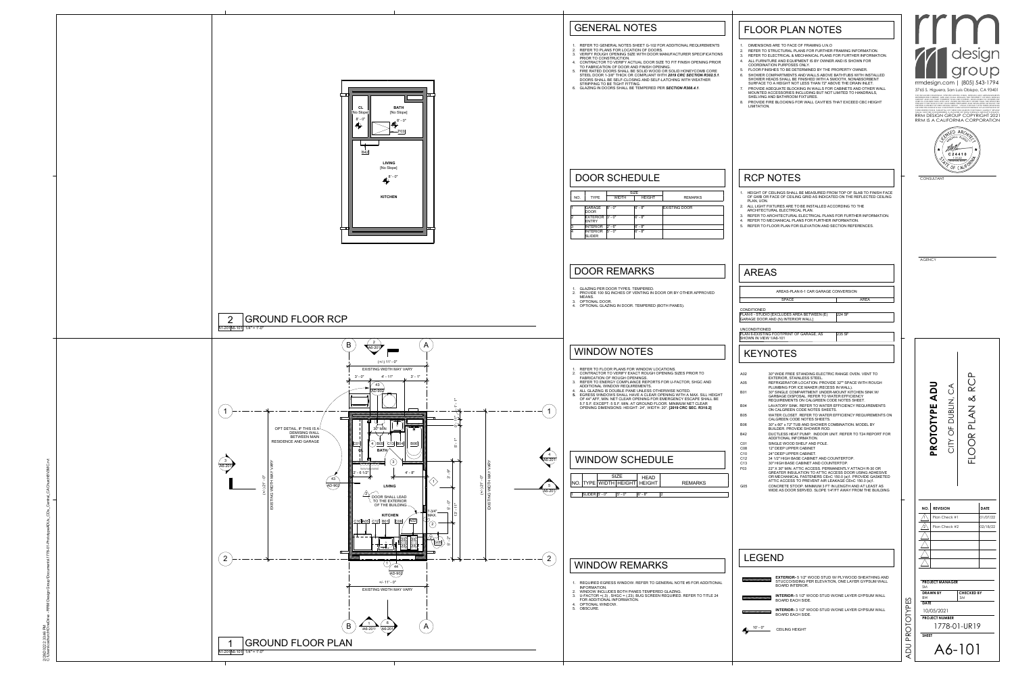| <b>FLOOR PLAN NOTES</b>                                                                                                                                                                                                                                                                                                                                                                                                                                                                                                                                                                                                                                                                                                                                                                                                                                                                                                                                                                                                                                                                                                                                                                                                                                                                                                                                                                                                                                    |                                                                                                                                                                                                                                                                                                                                                                                                                                                                                                                                                                                                                                                                                                                                                        |
|------------------------------------------------------------------------------------------------------------------------------------------------------------------------------------------------------------------------------------------------------------------------------------------------------------------------------------------------------------------------------------------------------------------------------------------------------------------------------------------------------------------------------------------------------------------------------------------------------------------------------------------------------------------------------------------------------------------------------------------------------------------------------------------------------------------------------------------------------------------------------------------------------------------------------------------------------------------------------------------------------------------------------------------------------------------------------------------------------------------------------------------------------------------------------------------------------------------------------------------------------------------------------------------------------------------------------------------------------------------------------------------------------------------------------------------------------------|--------------------------------------------------------------------------------------------------------------------------------------------------------------------------------------------------------------------------------------------------------------------------------------------------------------------------------------------------------------------------------------------------------------------------------------------------------------------------------------------------------------------------------------------------------------------------------------------------------------------------------------------------------------------------------------------------------------------------------------------------------|
| DIMENSIONS ARE TO FACE OF FRAMING U.N.O<br>1.<br>REFER TO STRUCTURAL PLANS FOR FURTHER FRAMING INFORMATION.<br>2.<br>REFER TO ELECTRICAL & MECHANICAL PLANS FOR FURTHER INFORMATION.<br>3.<br>ALL FURNITURE AND EQUIPMENT IS BY OWNER AND IS SHOWN FOR<br>4.<br>COORDINATION PURPOSES ONLY.<br>FLOOR FINISHES TO BE DETERMINED BY THE PROPERTY OWNER.<br>5.<br>SHOWER COMPARTMENTS AND WALLS ABOVE BATHTUBS WITH INSTALLED<br>6.<br>SHOWER HEADS SHALL BE FINISHED WITH A SMOOTH, NONABSORBENT<br>SURFACE TO A HEIGHT NOT LESS THAN 72" ABOVE THE DRAIN INLET.<br>PROVIDE ADEQUATE BLOCKING IN WALLS FOR CABINETS AND OTHER WALL<br>7.<br>MOUNTED ACCESSORIES INCLUDING BUT NOT LIMITED TO HANDRAILS,<br>SHELVING AND BATHROOM FIXTURES.<br>PROVIDE FIRE BLOCKING FOR WALL CAVITIES THAT EXCEED CBC HEIGHT<br>8.<br>LIMITATION.                                                                                                                                                                                                                                                                                                                                                                                                                                                                                                                                                                                                                            | rrmdesign.com   (805) 543-1794<br>3765 S. Higuera, San Luis Obispo, CA 93401<br>THE INCLUDED DRAWINGS, SPECIFICATIONS, IDEAS, DESIGNS AND ARRA<br>REPRESENTED THEREBY ARE AND SHALL REMAIN THE PROPERTY OF<br>GROUP AND NO PART THEREOF SHALL BE COPIED, DISCLOSED<br>USED IN CONNECTION WITH ANY WORK OR PROJECT OTHER THAN TROJECT FOR WHICH THEY HAVE BEEN PREPARED AND DEVELOPED<br>WRITTEN CONSENT OF RRM DESIGN GROUP. VISUAL CONTACT WITH THESE<br>OR SPECIFICATIONS SHALL CONSTITUTE CONCLUSIVE EVIDENCE OF ACCEPTANCE OF<br>THESE RESTRICTIONS. SUBMITTAL OF THESE DOCUMENTS FOR PUBLIC AGENCY REVIEW<br>SHALL NOT BE CONSIDERED A WAIVER OF RRM DESIGN GROUP'S RIGHTS.<br>RRM DESIGN GROUP COPYRIGHT 2021<br>RRM IS A CALIFORNIA CORPORATION |
|                                                                                                                                                                                                                                                                                                                                                                                                                                                                                                                                                                                                                                                                                                                                                                                                                                                                                                                                                                                                                                                                                                                                                                                                                                                                                                                                                                                                                                                            | <b>C24410</b><br>1-31-22<br>RENEWAL DATE                                                                                                                                                                                                                                                                                                                                                                                                                                                                                                                                                                                                                                                                                                               |
| <b>RCP NOTES</b><br>1. HEIGHT OF CEILINGS SHALL BE MEASURED FROM TOP OF SLAB TO FINISH FACE<br>OF GWB OR FACE OF CEILING GRID AS INDICATED ON THE REFLECTED CEILING<br>PLAN, UON.<br>2. ALL LIGHT FIXTURES ARE TO BE INSTALLED ACCORDING TO THE<br>ARCHITECTURAL ELECTRICAL PLAN.<br>3. REFER TO ARCHITECTURAL ELECTRICAL PLANS FOR FURTHER INFORMATION.<br>4. REFER TO MECHANICAL PLANS FOR FURTHER INFORMATION.<br>5. REFER TO FLOOR PLAN FOR ELEVATION AND SECTION REFERENCES.                                                                                                                                                                                                                                                                                                                                                                                                                                                                                                                                                                                                                                                                                                                                                                                                                                                                                                                                                                          | CONSULTANT                                                                                                                                                                                                                                                                                                                                                                                                                                                                                                                                                                                                                                                                                                                                             |
| <b>AREAS</b>                                                                                                                                                                                                                                                                                                                                                                                                                                                                                                                                                                                                                                                                                                                                                                                                                                                                                                                                                                                                                                                                                                                                                                                                                                                                                                                                                                                                                                               | <b>AGENCY</b>                                                                                                                                                                                                                                                                                                                                                                                                                                                                                                                                                                                                                                                                                                                                          |
| AREAS-PLAN 6-1 CAR GARAGE CONVERSION<br><b>SPACE</b><br><b>AREA</b>                                                                                                                                                                                                                                                                                                                                                                                                                                                                                                                                                                                                                                                                                                                                                                                                                                                                                                                                                                                                                                                                                                                                                                                                                                                                                                                                                                                        |                                                                                                                                                                                                                                                                                                                                                                                                                                                                                                                                                                                                                                                                                                                                                        |
| <b>CONDITIONED</b>                                                                                                                                                                                                                                                                                                                                                                                                                                                                                                                                                                                                                                                                                                                                                                                                                                                                                                                                                                                                                                                                                                                                                                                                                                                                                                                                                                                                                                         |                                                                                                                                                                                                                                                                                                                                                                                                                                                                                                                                                                                                                                                                                                                                                        |
| PLAN 6 - STUDIO [EXCLUDES AREA BETWEEN (E)<br>224 SF<br>GARAGE DOOR AND (N) INTERIOR WALL]                                                                                                                                                                                                                                                                                                                                                                                                                                                                                                                                                                                                                                                                                                                                                                                                                                                                                                                                                                                                                                                                                                                                                                                                                                                                                                                                                                 |                                                                                                                                                                                                                                                                                                                                                                                                                                                                                                                                                                                                                                                                                                                                                        |
| <b>UNCONDITIONED</b><br>PLAN 6-EXISTING FOOTPRINT OF GARAGE, AS<br>235 SF<br>SHOWN IN VIEW 1/A6-101                                                                                                                                                                                                                                                                                                                                                                                                                                                                                                                                                                                                                                                                                                                                                                                                                                                                                                                                                                                                                                                                                                                                                                                                                                                                                                                                                        |                                                                                                                                                                                                                                                                                                                                                                                                                                                                                                                                                                                                                                                                                                                                                        |
| <b>KEYNOTES</b>                                                                                                                                                                                                                                                                                                                                                                                                                                                                                                                                                                                                                                                                                                                                                                                                                                                                                                                                                                                                                                                                                                                                                                                                                                                                                                                                                                                                                                            |                                                                                                                                                                                                                                                                                                                                                                                                                                                                                                                                                                                                                                                                                                                                                        |
| A02<br>30" WIDE FREE STANDING ELECTRIC RANGE OVEN. VENT TO<br><b>EXTERIOR, STAINLESS STEEL.</b><br>REFRIGERATOR LOCATION. PROVIDE 32"" SPACE WITH ROUGH<br>A05<br>PLUMBING FOR ICE MAKER (RECESS IN WALL).<br><b>B01</b><br>30" SINGLE COMPARTMENT UNDER-MOUNT KITCHEN SINK W/<br><b>GARBAGE DISPOSAL, REFER TO WATER EFFICIENCY</b><br>REQUIREMENTS ON CALGREEN CODE NOTES SHEET.<br><b>B04</b><br>LAVATORY SINK. REFER TO WATER EFFICIENCY REQUIREMENTS<br>ON CALGREEN CODE NOTES SHEETS.<br><b>B05</b><br>WATER CLOSET. REFER TO WATER EFFICIENCY REQUIREMENTS ON<br>CALGREEN CODE NOTES SHEETS.<br><b>B06</b><br>30" x 60" x 72" TUB AND SHOWER COMBINATION. MODEL BY<br>BUILDER. PROVIDE SHOWER ROD.<br>DUCTLESS HEAT PUMP. INDOOR UNIT. REFER TO T24 REPORT FOR<br><b>B42</b><br>ADDITIONAL INFORMATION.<br>C <sub>01</sub><br>SINGLE WOOD SHELF AND POLE.<br>CO8<br>12" DEEP UPPER CABINET<br>C <sub>10</sub><br>24" DEEP UPPER CABINET.<br>C <sub>12</sub><br>34 1/2" HIGH BASE CABINET AND COUNTERTOP.<br>C <sub>13</sub><br>30" HIGH BASE CABINET AND COUNTERTOP.<br>F03<br>22" X 30" MIN. ATTIC ACCESS. PERMANENTLY ATTACH R-30 OR<br>GREATER INSULATION TO ATTIC ACCESS DOOR USING ADHESIVE<br>OR MECHANICAL FASTENERS CEnC 150.0 (a)1. PROVIDE GASKETED<br>ATTIC ACCESS TO PREVENT AIR LEAKAGE CEnC 150.0 (a)1.<br>G05<br>CONCRETE STOOP. MINIMUM 3 FT IN LENGTH AND AT LEAST AS<br>WIDE AS DOOR SERVED. SLOPE 1/4"/FT AWAY FROM THE BUILDING | <u>വ</u><br>$\blacktriangleleft$<br>Ō<br>A<br>$\mathbf{r}$<br>( )<br>$\propto$<br>DUBLIN,<br>ш<br>$\overline{\mathcal{L}}$<br>PROTOTYP<br>$\overline{\mathsf{r}}$<br>Щ<br>$\bigcirc$<br>$\frac{R}{C}$<br>NIC<br>匸                                                                                                                                                                                                                                                                                                                                                                                                                                                                                                                                      |
| <b>LEGEND</b>                                                                                                                                                                                                                                                                                                                                                                                                                                                                                                                                                                                                                                                                                                                                                                                                                                                                                                                                                                                                                                                                                                                                                                                                                                                                                                                                                                                                                                              | <b>DATE</b><br><b>REVISION</b><br>NO.<br>Plan Check #1<br>01/07/22<br>Plan Check #2<br>02/18/22<br>$\sqrt{2}$                                                                                                                                                                                                                                                                                                                                                                                                                                                                                                                                                                                                                                          |
| <b>EXTERIOR-</b> 5 1/2" WOOD STUD W/ PLYWOOD SHEATHING AND                                                                                                                                                                                                                                                                                                                                                                                                                                                                                                                                                                                                                                                                                                                                                                                                                                                                                                                                                                                                                                                                                                                                                                                                                                                                                                                                                                                                 |                                                                                                                                                                                                                                                                                                                                                                                                                                                                                                                                                                                                                                                                                                                                                        |
| STUCCO/SIDING PER ELEVATION, ONE LAYER GYPSUM WALL<br><b>BOARD INTERIOR.</b><br><b>INTERIOR- 5 1/2" WOOD STUD W/ONE LAYER GYPSUM WALL</b>                                                                                                                                                                                                                                                                                                                                                                                                                                                                                                                                                                                                                                                                                                                                                                                                                                                                                                                                                                                                                                                                                                                                                                                                                                                                                                                  | <b>PROJECT MANAGER</b><br><b>SM</b><br><b>CHECKED BY</b><br><b>DRAWN BY</b><br><b>SM</b>                                                                                                                                                                                                                                                                                                                                                                                                                                                                                                                                                                                                                                                               |
| <b>BOARD EACH SIDE.</b><br><b>INTERIOR- 3 1/2" WOOD STUD W/ONE LAYER GYPSUM WALL</b>                                                                                                                                                                                                                                                                                                                                                                                                                                                                                                                                                                                                                                                                                                                                                                                                                                                                                                                                                                                                                                                                                                                                                                                                                                                                                                                                                                       | <b>BW</b><br>$\sum$<br><b>DATE</b><br>$\Omega$<br>10/05/2021                                                                                                                                                                                                                                                                                                                                                                                                                                                                                                                                                                                                                                                                                           |
| <b>BOARD EACH SIDE.</b><br>10' - 0"<br><b>CEILING HEIGHT</b>                                                                                                                                                                                                                                                                                                                                                                                                                                                                                                                                                                                                                                                                                                                                                                                                                                                                                                                                                                                                                                                                                                                                                                                                                                                                                                                                                                                               | NIO<br><b>PROJECT NUMBER</b><br>Ō<br>1778-01-UR19                                                                                                                                                                                                                                                                                                                                                                                                                                                                                                                                                                                                                                                                                                      |
|                                                                                                                                                                                                                                                                                                                                                                                                                                                                                                                                                                                                                                                                                                                                                                                                                                                                                                                                                                                                                                                                                                                                                                                                                                                                                                                                                                                                                                                            | $\boldsymbol{\underline{\alpha}}$<br><b>SHEET</b><br>$\Omega$<br>$\Box$                                                                                                                                                                                                                                                                                                                                                                                                                                                                                                                                                                                                                                                                                |
|                                                                                                                                                                                                                                                                                                                                                                                                                                                                                                                                                                                                                                                                                                                                                                                                                                                                                                                                                                                                                                                                                                                                                                                                                                                                                                                                                                                                                                                            | A6-101<br>$\bigcap$                                                                                                                                                                                                                                                                                                                                                                                                                                                                                                                                                                                                                                                                                                                                    |



- 1. REQUIRED EGRESS WINDOW. REFER TO GENERAL NOTE #5 FOR ADDIT
- INFORMATION.
- 2. WINDOW INCLUDES BOTH PANES TEMPERED GLAZING. 3. U-FACTOR =(.3) , SHGC = (.23). BUG SCREEN REQUIRED. REFER TO TITLE 24 FOR ADDITIONAL INFORMATION.
- 4. OPTIONAL WINDOW. 5. OBSCURE.
- 1. REFER TO GENERAL NOTES SHEET G-102 FOR ADDITIONAL REQUIREM 2. REFER TO PLANS FOR LOCATION OF DOORS. 3. VERIFY ROUGH OPENING SIZE WITH DOOR MANUFACTURER SPECIFICATIONS
- PRIOR TO CONSTRUCTION. 4. CONTRACTOR TO VERIFY ACTUAL DOOR SIZE TO FIT FINISH OPENING F
- TO FABRICATION OF DOOR AND FINISH OPENING. FIRE RATED DOORS SHALL BE SOLID WOOD OR SOLID HONEYCOMB CO STEEL DOOR 1-3/8" THICK OR COMPLIANT WITH 2019 CRC SECTION R30. DOORS SHALL BE SELF-CLOSING AND SELF-LATCHING WITH WEATHER
- STRIPPING TO BE TIGHT FITTING. 6. GLAZING IN DOORS SHALL BE TEMPERED PER *SECTION R308.4.1*.

|  |                       | SIZE |             | HEAD                                 |         |
|--|-----------------------|------|-------------|--------------------------------------|---------|
|  |                       |      |             | NO.   TYPE   WIDTH   HEIGHT   HEIGHT | REMARKS |
|  |                       |      |             |                                      |         |
|  | $SLIDER$ $5'$ - $0''$ |      | $15' - 0''$ | $6'$ - $8"$                          |         |

|     |                                  | <b>SIZE</b>  |               |                      |
|-----|----------------------------------|--------------|---------------|----------------------|
| NO. | <b>TYPE</b>                      | <b>WIDTH</b> | <b>HEIGHT</b> | <b>REMARKS</b>       |
|     |                                  |              |               |                      |
|     | <b>GARAGE</b><br>DOOR            | $8' - 0''$   | $6' - 8''$    | <b>EXISTING DOOR</b> |
| 2   | EXTERIOR $ 3'-0$<br><b>ENTRY</b> |              | $6' - 8''$    |                      |
| 3   | <b>INTERIOR</b>                  | $2' - 6''$   | $6' - 8"$     |                      |
| 4   | <b>INTERIOR</b><br><b>SLIDER</b> | $5' - 0''$   | $6' - 8''$    |                      |

### WINDOW SCHEDULE

# DOOR SCHEDULE

- 1. REFER TO FLOOR PLANS FOR WINDOW LOCATIONS. 2. CONTRACTOR TO VERIFY EXACT ROUGH OPENING SIZES PRIOR TO
- FABRICATION OF ROUGH OPENINGS. 3. REFER TO ENERGY COMPLIANCE REPORTS FOR U-FACTOR, SHGC AND ADDITIONAL WINDOW REQUIREMENTS.
- 4. ALL GLAZING IS DOUBLE PANE UNLESS OTHERWISE NOTED. **5. EGRESS WINDOWS SHALL HAVE A CLEAR OPENING WITH A MAX. SILL H** OF 44" AFF, MIN. NET CLEAR OPENING FOR EMERGENCY ESCAPE SHALL BE 5.7 S.F. EXCEPT: 5 S.F. MIN. AT GROUND FLOOR. MINIMUM NET CLEAR OPENING DIMENSIONS: HEIGHT: 24", WIDTH: 20". **[2019 CRC SEC. R310.2]**

# WINDOW NOTES

### WINDOW REMARKS

- 1. GLAZING PER DOOR TYPES. TEMPERED. 2. PROVIDE 100 SQ INCHES OF VENTING IN DOOR OR BY OTHER APPROVED MEANS.
- 3. OPTIONAL DOOR. 4. OPTIONAL GLAZING IN DOOR. TEMPERED (BOTH PANES).

#### DOOR REMARKS

# GENERAL NOTES